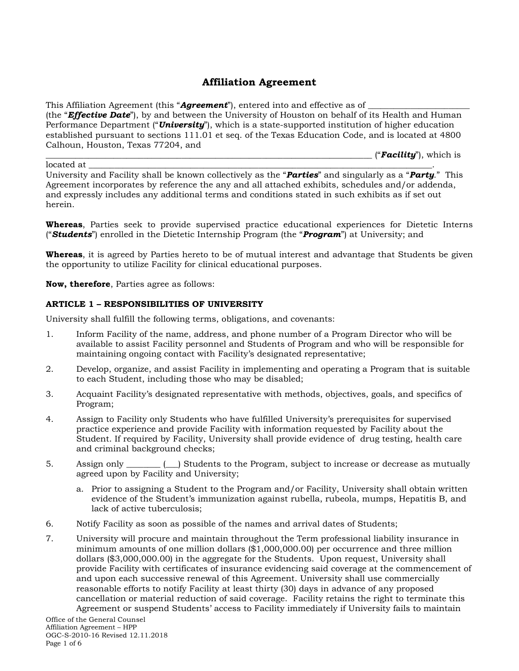# **Affiliation Agreement**

This Affiliation Agreement (this "**Agreement**"), entered into and effective as of (the "*Effective Date*"), by and between the University of Houston on behalf of its Health and Human Performance Department ("*University*"), which is a state-supported institution of higher education established pursuant to sections 111.01 et seq. of the Texas Education Code, and is located at 4800 Calhoun, Houston, Texas 77204, and

\_\_\_\_\_\_\_\_\_\_\_\_\_\_\_\_\_\_\_\_\_\_\_\_\_\_\_\_\_\_\_\_\_\_\_\_\_\_\_\_\_\_\_\_\_\_\_\_\_\_\_\_\_\_\_\_\_\_\_\_\_\_\_\_\_\_\_\_\_\_\_\_\_\_\_\_\_ ("*Facility*"), which is

located at \_\_\_\_\_\_\_\_\_\_\_\_\_\_\_\_\_\_\_\_\_\_\_\_\_\_\_\_\_\_\_\_\_\_\_\_\_\_\_\_\_\_\_\_\_\_\_\_\_\_\_\_\_\_\_\_\_\_\_\_\_\_\_\_\_\_\_\_\_\_\_\_\_\_\_\_\_\_\_\_\_. University and Facility shall be known collectively as the "*Parties*" and singularly as a "*Party*." This Agreement incorporates by reference the any and all attached exhibits, schedules and/or addenda, and expressly includes any additional terms and conditions stated in such exhibits as if set out herein.

**Whereas**, Parties seek to provide supervised practice educational experiences for Dietetic Interns ("*Students*") enrolled in the Dietetic Internship Program (the "*Program*") at University; and

**Whereas**, it is agreed by Parties hereto to be of mutual interest and advantage that Students be given the opportunity to utilize Facility for clinical educational purposes.

**Now, therefore**, Parties agree as follows:

### **ARTICLE 1 – RESPONSIBILITIES OF UNIVERSITY**

University shall fulfill the following terms, obligations, and covenants:

- 1. Inform Facility of the name, address, and phone number of a Program Director who will be available to assist Facility personnel and Students of Program and who will be responsible for maintaining ongoing contact with Facility's designated representative;
- 2. Develop, organize, and assist Facility in implementing and operating a Program that is suitable to each Student, including those who may be disabled;
- 3. Acquaint Facility's designated representative with methods, objectives, goals, and specifics of Program;
- 4. Assign to Facility only Students who have fulfilled University's prerequisites for supervised practice experience and provide Facility with information requested by Facility about the Student. If required by Facility, University shall provide evidence of drug testing, health care and criminal background checks;
- 5. Assign only \_\_\_\_\_\_\_\_ (\_\_) Students to the Program, subject to increase or decrease as mutually agreed upon by Facility and University;
	- a. Prior to assigning a Student to the Program and/or Facility, University shall obtain written evidence of the Student's immunization against rubella, rubeola, mumps, Hepatitis B, and lack of active tuberculosis;
- 6. Notify Facility as soon as possible of the names and arrival dates of Students;
- 7. University will procure and maintain throughout the Term professional liability insurance in minimum amounts of one million dollars (\$1,000,000.00) per occurrence and three million dollars (\$3,000,000.00) in the aggregate for the Students. Upon request, University shall provide Facility with certificates of insurance evidencing said coverage at the commencement of and upon each successive renewal of this Agreement. University shall use commercially reasonable efforts to notify Facility at least thirty (30) days in advance of any proposed cancellation or material reduction of said coverage. Facility retains the right to terminate this Agreement or suspend Students' access to Facility immediately if University fails to maintain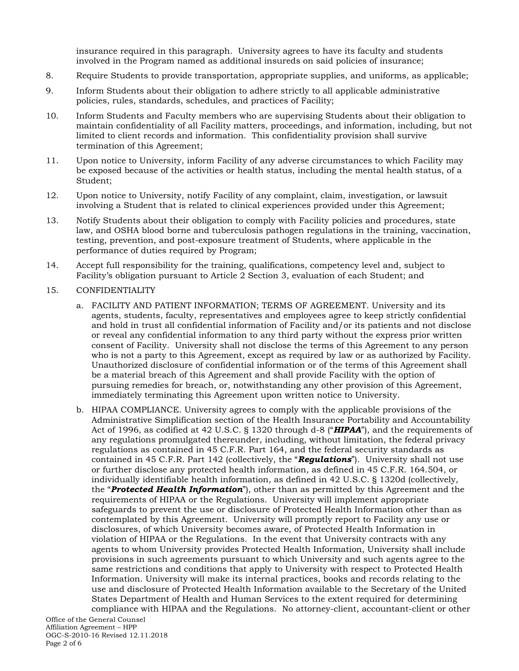insurance required in this paragraph. University agrees to have its faculty and students involved in the Program named as additional insureds on said policies of insurance;

- 8. Require Students to provide transportation, appropriate supplies, and uniforms, as applicable;
- 9. Inform Students about their obligation to adhere strictly to all applicable administrative policies, rules, standards, schedules, and practices of Facility;
- 10. Inform Students and Faculty members who are supervising Students about their obligation to maintain confidentiality of all Facility matters, proceedings, and information, including, but not limited to client records and information. This confidentiality provision shall survive termination of this Agreement;
- 11. Upon notice to University, inform Facility of any adverse circumstances to which Facility may be exposed because of the activities or health status, including the mental health status, of a Student;
- 12. Upon notice to University, notify Facility of any complaint, claim, investigation, or lawsuit involving a Student that is related to clinical experiences provided under this Agreement;
- 13. Notify Students about their obligation to comply with Facility policies and procedures, state law, and OSHA blood borne and tuberculosis pathogen regulations in the training, vaccination, testing, prevention, and post-exposure treatment of Students, where applicable in the performance of duties required by Program;
- 14. Accept full responsibility for the training, qualifications, competency level and, subject to Facility's obligation pursuant to Article 2 Section 3, evaluation of each Student; and
- 15. CONFIDENTIALITY
	- a. FACILITY AND PATIENT INFORMATION; TERMS OF AGREEMENT. University and its agents, students, faculty, representatives and employees agree to keep strictly confidential and hold in trust all confidential information of Facility and/or its patients and not disclose or reveal any confidential information to any third party without the express prior written consent of Facility. University shall not disclose the terms of this Agreement to any person who is not a party to this Agreement, except as required by law or as authorized by Facility. Unauthorized disclosure of confidential information or of the terms of this Agreement shall be a material breach of this Agreement and shall provide Facility with the option of pursuing remedies for breach, or, notwithstanding any other provision of this Agreement, immediately terminating this Agreement upon written notice to University.
	- b. HIPAA COMPLIANCE. University agrees to comply with the applicable provisions of the Administrative Simplification section of the Health Insurance Portability and Accountability Act of 1996, as codified at 42 U.S.C. § 1320 through d-8 ("*HIPAA*"), and the requirements of any regulations promulgated thereunder, including, without limitation, the federal privacy regulations as contained in 45 C.F.R. Part 164, and the federal security standards as contained in 45 C.F.R. Part 142 (collectively, the "*Regulations*"). University shall not use or further disclose any protected health information, as defined in 45 C.F.R. 164.504, or individually identifiable health information, as defined in 42 U.S.C. § 1320d (collectively, the "*Protected Health Information*"), other than as permitted by this Agreement and the requirements of HIPAA or the Regulations. University will implement appropriate safeguards to prevent the use or disclosure of Protected Health Information other than as contemplated by this Agreement. University will promptly report to Facility any use or disclosures, of which University becomes aware, of Protected Health Information in violation of HIPAA or the Regulations. In the event that University contracts with any agents to whom University provides Protected Health Information, University shall include provisions in such agreements pursuant to which University and such agents agree to the same restrictions and conditions that apply to University with respect to Protected Health Information. University will make its internal practices, books and records relating to the use and disclosure of Protected Health Information available to the Secretary of the United States Department of Health and Human Services to the extent required for determining compliance with HIPAA and the Regulations. No attorney-client, accountant-client or other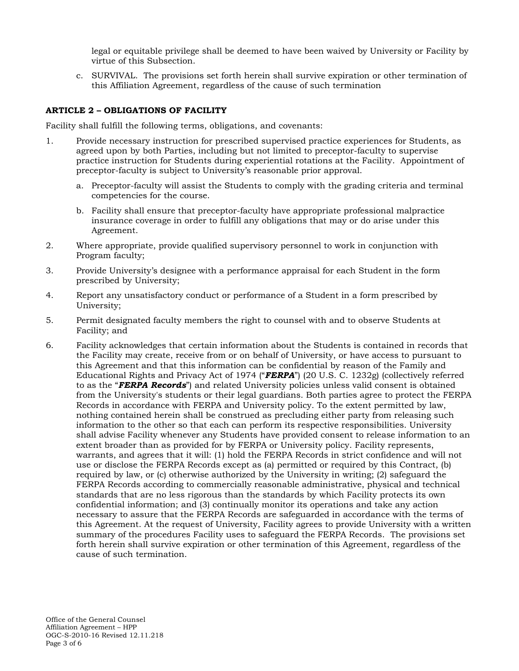legal or equitable privilege shall be deemed to have been waived by University or Facility by virtue of this Subsection.

c. SURVIVAL. The provisions set forth herein shall survive expiration or other termination of this Affiliation Agreement, regardless of the cause of such termination

## **ARTICLE 2 – OBLIGATIONS OF FACILITY**

Facility shall fulfill the following terms, obligations, and covenants:

- 1. Provide necessary instruction for prescribed supervised practice experiences for Students, as agreed upon by both Parties, including but not limited to preceptor-faculty to supervise practice instruction for Students during experiential rotations at the Facility. Appointment of preceptor-faculty is subject to University's reasonable prior approval.
	- a. Preceptor-faculty will assist the Students to comply with the grading criteria and terminal competencies for the course.
	- b. Facility shall ensure that preceptor-faculty have appropriate professional malpractice insurance coverage in order to fulfill any obligations that may or do arise under this Agreement.
- 2. Where appropriate, provide qualified supervisory personnel to work in conjunction with Program faculty;
- 3. Provide University's designee with a performance appraisal for each Student in the form prescribed by University;
- 4. Report any unsatisfactory conduct or performance of a Student in a form prescribed by University;
- 5. Permit designated faculty members the right to counsel with and to observe Students at Facility; and
- 6. Facility acknowledges that certain information about the Students is contained in records that the Facility may create, receive from or on behalf of University, or have access to pursuant to this Agreement and that this information can be confidential by reason of the Family and Educational Rights and Privacy Act of 1974 ("*FERPA*") (20 U.S. C. 1232g) (collectively referred to as the "*FERPA Records*") and related University policies unless valid consent is obtained from the University's students or their legal guardians. Both parties agree to protect the FERPA Records in accordance with FERPA and University policy. To the extent permitted by law, nothing contained herein shall be construed as precluding either party from releasing such information to the other so that each can perform its respective responsibilities. University shall advise Facility whenever any Students have provided consent to release information to an extent broader than as provided for by FERPA or University policy. Facility represents, warrants, and agrees that it will: (1) hold the FERPA Records in strict confidence and will not use or disclose the FERPA Records except as (a) permitted or required by this Contract, (b) required by law, or (c) otherwise authorized by the University in writing; (2) safeguard the FERPA Records according to commercially reasonable administrative, physical and technical standards that are no less rigorous than the standards by which Facility protects its own confidential information; and (3) continually monitor its operations and take any action necessary to assure that the FERPA Records are safeguarded in accordance with the terms of this Agreement. At the request of University, Facility agrees to provide University with a written summary of the procedures Facility uses to safeguard the FERPA Records. The provisions set forth herein shall survive expiration or other termination of this Agreement, regardless of the cause of such termination.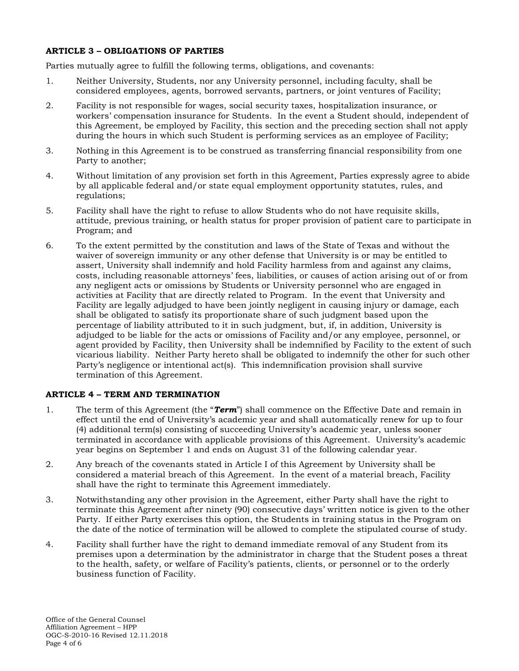## **ARTICLE 3 – OBLIGATIONS OF PARTIES**

Parties mutually agree to fulfill the following terms, obligations, and covenants:

- 1. Neither University, Students, nor any University personnel, including faculty, shall be considered employees, agents, borrowed servants, partners, or joint ventures of Facility;
- 2. Facility is not responsible for wages, social security taxes, hospitalization insurance, or workers' compensation insurance for Students. In the event a Student should, independent of this Agreement, be employed by Facility, this section and the preceding section shall not apply during the hours in which such Student is performing services as an employee of Facility;
- 3. Nothing in this Agreement is to be construed as transferring financial responsibility from one Party to another;
- 4. Without limitation of any provision set forth in this Agreement, Parties expressly agree to abide by all applicable federal and/or state equal employment opportunity statutes, rules, and regulations;
- 5. Facility shall have the right to refuse to allow Students who do not have requisite skills, attitude, previous training, or health status for proper provision of patient care to participate in Program; and
- 6. To the extent permitted by the constitution and laws of the State of Texas and without the waiver of sovereign immunity or any other defense that University is or may be entitled to assert, University shall indemnify and hold Facility harmless from and against any claims, costs, including reasonable attorneys' fees, liabilities, or causes of action arising out of or from any negligent acts or omissions by Students or University personnel who are engaged in activities at Facility that are directly related to Program. In the event that University and Facility are legally adjudged to have been jointly negligent in causing injury or damage, each shall be obligated to satisfy its proportionate share of such judgment based upon the percentage of liability attributed to it in such judgment, but, if, in addition, University is adjudged to be liable for the acts or omissions of Facility and/or any employee, personnel, or agent provided by Facility, then University shall be indemnified by Facility to the extent of such vicarious liability. Neither Party hereto shall be obligated to indemnify the other for such other Party's negligence or intentional act(s). This indemnification provision shall survive termination of this Agreement.

## **ARTICLE 4 – TERM AND TERMINATION**

- 1. The term of this Agreement (the "*Term*") shall commence on the Effective Date and remain in effect until the end of University's academic year and shall automatically renew for up to four (4) additional term(s) consisting of succeeding University's academic year, unless sooner terminated in accordance with applicable provisions of this Agreement. University's academic year begins on September 1 and ends on August 31 of the following calendar year.
- 2. Any breach of the covenants stated in Article I of this Agreement by University shall be considered a material breach of this Agreement. In the event of a material breach, Facility shall have the right to terminate this Agreement immediately.
- 3. Notwithstanding any other provision in the Agreement, either Party shall have the right to terminate this Agreement after ninety (90) consecutive days' written notice is given to the other Party. If either Party exercises this option, the Students in training status in the Program on the date of the notice of termination will be allowed to complete the stipulated course of study.
- 4. Facility shall further have the right to demand immediate removal of any Student from its premises upon a determination by the administrator in charge that the Student poses a threat to the health, safety, or welfare of Facility's patients, clients, or personnel or to the orderly business function of Facility.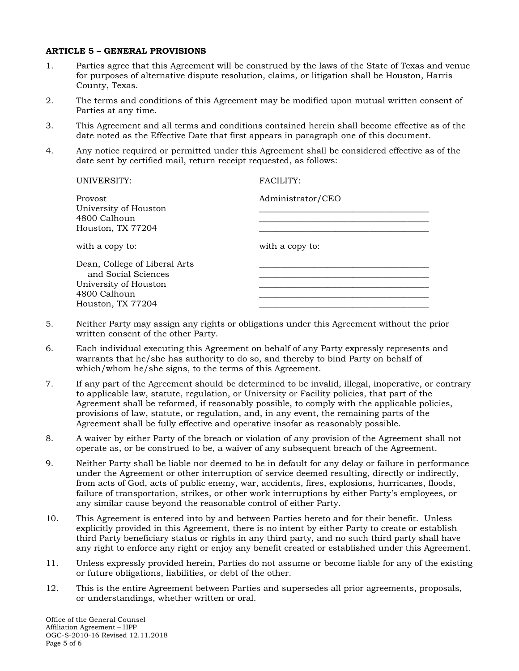#### **ARTICLE 5 – GENERAL PROVISIONS**

- 1. Parties agree that this Agreement will be construed by the laws of the State of Texas and venue for purposes of alternative dispute resolution, claims, or litigation shall be Houston, Harris County, Texas.
- 2. The terms and conditions of this Agreement may be modified upon mutual written consent of Parties at any time.
- 3. This Agreement and all terms and conditions contained herein shall become effective as of the date noted as the Effective Date that first appears in paragraph one of this document.
- 4. Any notice required or permitted under this Agreement shall be considered effective as of the date sent by certified mail, return receipt requested, as follows:

| UNIVERSITY:                                                                                                        | FACILITY:         |
|--------------------------------------------------------------------------------------------------------------------|-------------------|
| Provost<br>University of Houston<br>4800 Calhoun<br>Houston, TX 77204                                              | Administrator/CEO |
| with a copy to:                                                                                                    | with a copy to:   |
| Dean, College of Liberal Arts<br>and Social Sciences<br>University of Houston<br>4800 Calhoun<br>Houston, TX 77204 |                   |

- 5. Neither Party may assign any rights or obligations under this Agreement without the prior written consent of the other Party.
- 6. Each individual executing this Agreement on behalf of any Party expressly represents and warrants that he/she has authority to do so, and thereby to bind Party on behalf of which/whom he/she signs, to the terms of this Agreement.
- 7. If any part of the Agreement should be determined to be invalid, illegal, inoperative, or contrary to applicable law, statute, regulation, or University or Facility policies, that part of the Agreement shall be reformed, if reasonably possible, to comply with the applicable policies, provisions of law, statute, or regulation, and, in any event, the remaining parts of the Agreement shall be fully effective and operative insofar as reasonably possible.
- 8. A waiver by either Party of the breach or violation of any provision of the Agreement shall not operate as, or be construed to be, a waiver of any subsequent breach of the Agreement.
- 9. Neither Party shall be liable nor deemed to be in default for any delay or failure in performance under the Agreement or other interruption of service deemed resulting, directly or indirectly, from acts of God, acts of public enemy, war, accidents, fires, explosions, hurricanes, floods, failure of transportation, strikes, or other work interruptions by either Party's employees, or any similar cause beyond the reasonable control of either Party.
- 10. This Agreement is entered into by and between Parties hereto and for their benefit. Unless explicitly provided in this Agreement, there is no intent by either Party to create or establish third Party beneficiary status or rights in any third party, and no such third party shall have any right to enforce any right or enjoy any benefit created or established under this Agreement.
- 11. Unless expressly provided herein, Parties do not assume or become liable for any of the existing or future obligations, liabilities, or debt of the other.
- 12. This is the entire Agreement between Parties and supersedes all prior agreements, proposals, or understandings, whether written or oral.